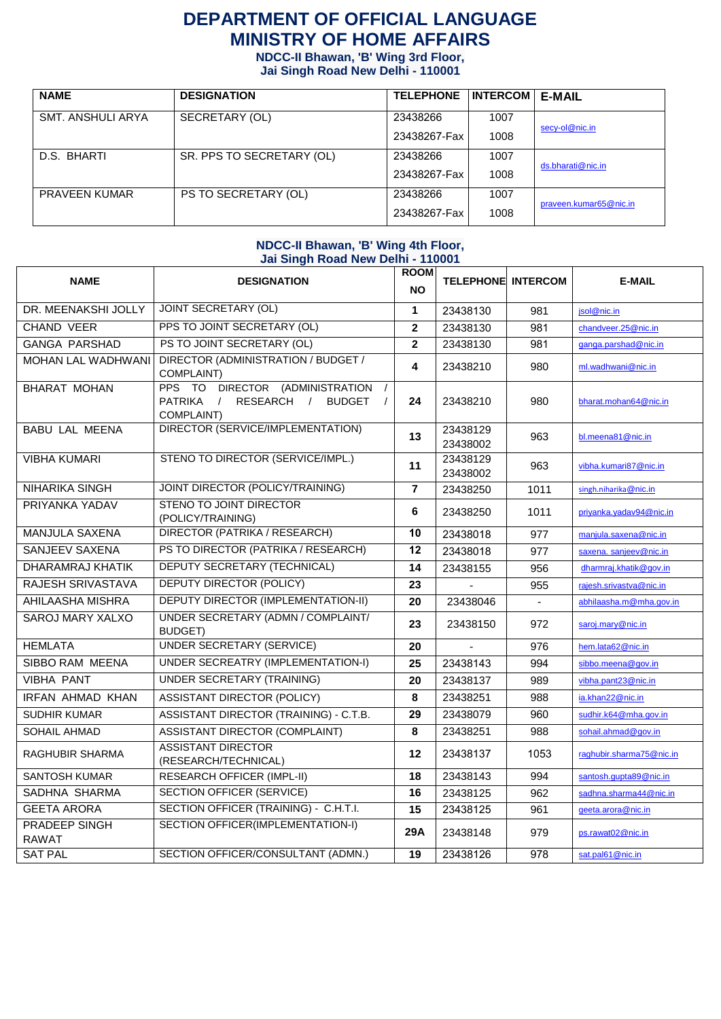# **DEPARTMENT OF OFFICIAL LANGUAGE MINISTRY OF HOME AFFAIRS**

**NDCC-II Bhawan, 'B' Wing 3rd Floor,** 

**Jai Singh Road New Delhi - 110001**

| <b>NAME</b>          | <b>DESIGNATION</b>        | <b>TELEPHONE</b> | <b>INTERCOM</b> | <b>E-MAIL</b>          |  |
|----------------------|---------------------------|------------------|-----------------|------------------------|--|
| SMT. ANSHULI ARYA    | SECRETARY (OL)            | 23438266         | 1007            |                        |  |
|                      |                           | 23438267-Fax     | 1008            | secy-ol@nic.in         |  |
| D.S. BHARTI          | SR. PPS TO SECRETARY (OL) | 23438266         | 1007            |                        |  |
|                      |                           | 23438267-Fax     | 1008            | ds.bharati@nic.in      |  |
| <b>PRAVEEN KUMAR</b> | PS TO SECRETARY (OL)      | 23438266         | 1007            | praveen.kumar65@nic.in |  |
|                      |                           | 23438267-Fax     | 1008            |                        |  |

#### **NDCC-II Bhawan, 'B' Wing 4th Floor, Jai Singh Road New Delhi - 110001**

| <b>NAME</b>                          | <b>DESIGNATION</b>                                                                                                                        | <b>ROOM</b><br><b>NO</b> | <b>TELEPHONE INTERCOM</b> |                | <b>E-MAIL</b>            |
|--------------------------------------|-------------------------------------------------------------------------------------------------------------------------------------------|--------------------------|---------------------------|----------------|--------------------------|
| DR. MEENAKSHI JOLLY                  | <b>JOINT SECRETARY (OL)</b>                                                                                                               | $\mathbf{1}$             | 23438130                  | 981            | jsol@nic.in              |
| <b>CHAND VEER</b>                    | PPS TO JOINT SECRETARY (OL)                                                                                                               | $\mathbf 2$              | 23438130                  | 981            | chandveer.25@nic.in      |
| <b>GANGA PARSHAD</b>                 | PS TO JOINT SECRETARY (OL)                                                                                                                | $\mathbf 2$              | 23438130                  | 981            | ganga.parshad@nic.in     |
| <b>MOHAN LAL WADHWANI</b>            | DIRECTOR (ADMINISTRATION / BUDGET /<br>COMPLAINT)                                                                                         | 4                        | 23438210                  | 980            | ml.wadhwani@nic.in       |
| <b>BHARAT MOHAN</b>                  | PPS TO DIRECTOR (ADMINISTRATION<br>$\prime$<br><b>PATRIKA</b><br>RESEARCH /<br><b>BUDGET</b><br>$\frac{1}{2}$<br>$\sqrt{ }$<br>COMPLAINT) | 24                       | 23438210                  | 980            | bharat.mohan64@nic.in    |
| <b>BABU LAL MEENA</b>                | DIRECTOR (SERVICE/IMPLEMENTATION)                                                                                                         | 13                       | 23438129<br>23438002      | 963            | bl.meena81@nic.in        |
| <b>VIBHA KUMARI</b>                  | STENO TO DIRECTOR (SERVICE/IMPL.)                                                                                                         | 11                       | 23438129<br>23438002      | 963            | vibha.kumari87@nic.in    |
| <b>NIHARIKA SINGH</b>                | JOINT DIRECTOR (POLICY/TRAINING)                                                                                                          | $\overline{7}$           | 23438250                  | 1011           | singh.niharika@nic.in    |
| PRIYANKA YADAV                       | STENO TO JOINT DIRECTOR<br>(POLICY/TRAINING)                                                                                              | 6                        | 23438250                  | 1011           | priyanka.yadav94@nic.in  |
| <b>MANJULA SAXENA</b>                | <b>DIRECTOR (PATRIKA / RESEARCH)</b>                                                                                                      | 10                       | 23438018                  | 977            | manjula.saxena@nic.in    |
| <b>SANJEEV SAXENA</b>                | PS TO DIRECTOR (PATRIKA / RESEARCH)                                                                                                       | 12                       | 23438018                  | 977            | saxena. sanjeev@nic.in   |
| <b>DHARAMRAJ KHATIK</b>              | <b>DEPUTY SECRETARY (TECHNICAL)</b>                                                                                                       | 14                       | 23438155                  | 956            | dharmraj.khatik@gov.in   |
| RAJESH SRIVASTAVA                    | <b>DEPUTY DIRECTOR (POLICY)</b>                                                                                                           | 23                       |                           | 955            | rajesh.srivastva@nic.in  |
| AHILAASHA MISHRA                     | <b>DEPUTY DIRECTOR (IMPLEMENTATION-II)</b>                                                                                                | 20                       | 23438046                  | $\blacksquare$ | abhilaasha.m@mha.gov.in  |
| <b>SAROJ MARY XALXO</b>              | UNDER SECRETARY (ADMN / COMPLAINT/<br><b>BUDGET)</b>                                                                                      | 23                       | 23438150                  | 972            | saroj.mary@nic.in        |
| <b>HEMLATA</b>                       | <b>UNDER SECRETARY (SERVICE)</b>                                                                                                          | 20                       |                           | 976            | hem.lata62@nic.in        |
| SIBBO RAM MEENA                      | UNDER SECREATRY (IMPLEMENTATION-I)                                                                                                        | 25                       | 23438143                  | 994            | sibbo.meena@gov.in       |
| <b>VIBHA PANT</b>                    | <b>UNDER SECRETARY (TRAINING)</b>                                                                                                         | 20                       | 23438137                  | 989            | vibha.pant23@nic.in      |
| <b>IRFAN AHMAD KHAN</b>              | ASSISTANT DIRECTOR (POLICY)                                                                                                               | 8                        | 23438251                  | 988            | ia.khan22@nic.in         |
| <b>SUDHIR KUMAR</b>                  | ASSISTANT DIRECTOR (TRAINING) - C.T.B.                                                                                                    | 29                       | 23438079                  | 960            | sudhir.k64@mha.gov.in    |
| <b>SOHAIL AHMAD</b>                  | <b>ASSISTANT DIRECTOR (COMPLAINT)</b>                                                                                                     | 8                        | 23438251                  | 988            | sohail.ahmad@gov.in      |
| RAGHUBIR SHARMA                      | <b>ASSISTANT DIRECTOR</b><br>(RESEARCH/TECHNICAL)                                                                                         | 12                       | 23438137                  | 1053           | raghubir.sharma75@nic.in |
| <b>SANTOSH KUMAR</b>                 | <b>RESEARCH OFFICER (IMPL-II)</b>                                                                                                         | 18                       | 23438143                  | 994            | santosh.gupta89@nic.in   |
| SADHNA SHARMA                        | <b>SECTION OFFICER (SERVICE)</b>                                                                                                          | 16                       | 23438125                  | 962            | sadhna.sharma44@nic.in   |
| <b>GEETA ARORA</b>                   | SECTION OFFICER (TRAINING) - C.H.T.I.                                                                                                     | 15                       | 23438125                  | 961            | geeta.arora@nic.in       |
| <b>PRADEEP SINGH</b><br><b>RAWAT</b> | SECTION OFFICER(IMPLEMENTATION-I)                                                                                                         | 29A                      | 23438148                  | 979            | ps.rawat02@nic.in        |
| <b>SAT PAL</b>                       | SECTION OFFICER/CONSULTANT (ADMN.)                                                                                                        | 19                       | 23438126                  | 978            | sat.pal61@nic.in         |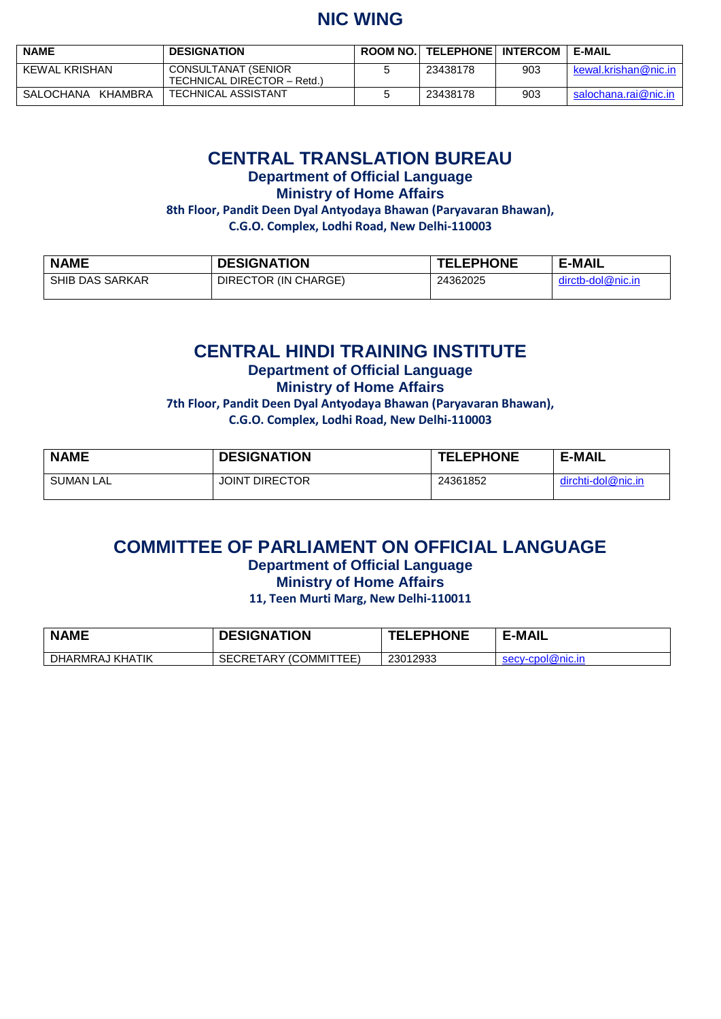# **NIC WING**

| <b>NAME</b>          | <b>DESIGNATION</b>                                 | <b>ROOM NO. TELEPHONE INTERCOM</b> |     | E-MAIL               |
|----------------------|----------------------------------------------------|------------------------------------|-----|----------------------|
| KEWAL KRISHAN        | CONSULTANAT (SENIOR<br>TECHNICAL DIRECTOR - Retd.) | 23438178                           | 903 | kewal.krishan@nic.in |
| KHAMBRA<br>SALOCHANA | <b>TECHNICAL ASSISTANT</b>                         | 23438178                           | 903 | salochana.rai@nic.in |

### **CENTRAL TRANSLATION BUREAU**

**Department of Official Language**

**Ministry of Home Affairs**

**8th Floor, Pandit Deen Dyal Antyodaya Bhawan (Paryavaran Bhawan),** 

**C.G.O. Complex, Lodhi Road, New Delhi-110003**

| <b>NAME</b>            | <b>DESIGNATION</b>   | <b>TELEPHONE</b> | <b>E-MAIL</b>     |
|------------------------|----------------------|------------------|-------------------|
| <b>SHIB DAS SARKAR</b> | DIRECTOR (IN CHARGE) | 24362025         | dirctb-dol@nic.in |

## **CENTRAL HINDI TRAINING INSTITUTE**

**Department of Official Language**

**Ministry of Home Affairs**

**7th Floor, Pandit Deen Dyal Antyodaya Bhawan (Paryavaran Bhawan), C.G.O. Complex, Lodhi Road, New Delhi-110003**

| <b>NAME</b> | <b>DESIGNATION</b>    | <b>TELEPHONE</b> | <b>E-MAIL</b>      |
|-------------|-----------------------|------------------|--------------------|
| SUMAN LAL   | <b>JOINT DIRECTOR</b> | 24361852         | dirchti-dol@nic.in |

## **COMMITTEE OF PARLIAMENT ON OFFICIAL LANGUAGE**

**Department of Official Language**

**Ministry of Home Affairs**

**11, Teen Murti Marg, New Delhi-110011**

| <b>NAME</b>     | <b>DESIGNATION</b>              | <b>TELEPHONE</b> | <b>E-MAIL</b>    |
|-----------------|---------------------------------|------------------|------------------|
| DHARMRAJ KHATIK | (COMMITTEE)<br><b>SECRETARY</b> | 23012933         | secv-cpol@nic.in |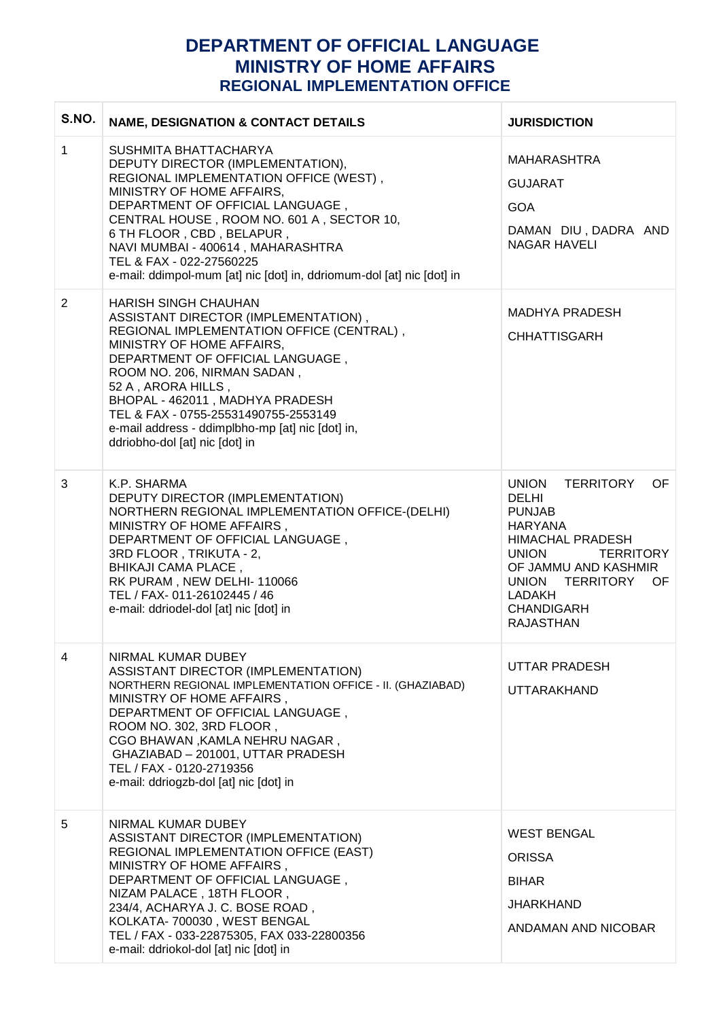### **DEPARTMENT OF OFFICIAL LANGUAGE MINISTRY OF HOME AFFAIRS REGIONAL IMPLEMENTATION OFFICE**

| S.NO. | <b>NAME, DESIGNATION &amp; CONTACT DETAILS</b>                                                                                                                                                                                                                                                                                                                                                          | <b>JURISDICTION</b>                                                                                                                                                                                                                                            |
|-------|---------------------------------------------------------------------------------------------------------------------------------------------------------------------------------------------------------------------------------------------------------------------------------------------------------------------------------------------------------------------------------------------------------|----------------------------------------------------------------------------------------------------------------------------------------------------------------------------------------------------------------------------------------------------------------|
| 1     | SUSHMITA BHATTACHARYA<br>DEPUTY DIRECTOR (IMPLEMENTATION),<br>REGIONAL IMPLEMENTATION OFFICE (WEST),<br>MINISTRY OF HOME AFFAIRS,<br>DEPARTMENT OF OFFICIAL LANGUAGE,<br>CENTRAL HOUSE, ROOM NO. 601 A, SECTOR 10,<br>6 TH FLOOR, CBD, BELAPUR,<br>NAVI MUMBAI - 400614, MAHARASHTRA<br>TEL & FAX - 022-27560225<br>e-mail: ddimpol-mum [at] nic [dot] in, ddriomum-dol [at] nic [dot] in               | <b>MAHARASHTRA</b><br><b>GUJARAT</b><br><b>GOA</b><br>DAMAN DIU, DADRA AND<br><b>NAGAR HAVELI</b>                                                                                                                                                              |
| 2     | <b>HARISH SINGH CHAUHAN</b><br>ASSISTANT DIRECTOR (IMPLEMENTATION),<br>REGIONAL IMPLEMENTATION OFFICE (CENTRAL),<br>MINISTRY OF HOME AFFAIRS,<br>DEPARTMENT OF OFFICIAL LANGUAGE,<br>ROOM NO. 206, NIRMAN SADAN,<br>52 A, ARORA HILLS,<br>BHOPAL - 462011, MADHYA PRADESH<br>TEL & FAX - 0755-25531490755-2553149<br>e-mail address - ddimplbho-mp [at] nic [dot] in,<br>ddriobho-dol [at] nic [dot] in | <b>MADHYA PRADESH</b><br><b>CHHATTISGARH</b>                                                                                                                                                                                                                   |
| 3     | K.P. SHARMA<br>DEPUTY DIRECTOR (IMPLEMENTATION)<br>NORTHERN REGIONAL IMPLEMENTATION OFFICE-(DELHI)<br>MINISTRY OF HOME AFFAIRS,<br>DEPARTMENT OF OFFICIAL LANGUAGE,<br>3RD FLOOR, TRIKUTA - 2,<br><b>BHIKAJI CAMA PLACE,</b><br>RK PURAM, NEW DELHI-110066<br>TEL / FAX- 011-26102445 / 46<br>e-mail: ddriodel-dol [at] nic [dot] in                                                                    | <b>UNION</b><br><b>TERRITORY</b><br>OF.<br><b>DELHI</b><br><b>PUNJAB</b><br><b>HARYANA</b><br><b>HIMACHAL PRADESH</b><br><b>UNION</b><br><b>TERRITORY</b><br>OF JAMMU AND KASHMIR<br>UNION TERRITORY<br>OF.<br>LADAKH<br><b>CHANDIGARH</b><br><b>RAJASTHAN</b> |
| 4     | NIRMAL KUMAR DUBEY<br>ASSISTANT DIRECTOR (IMPLEMENTATION)<br>NORTHERN REGIONAL IMPLEMENTATION OFFICE - II. (GHAZIABAD)<br>MINISTRY OF HOME AFFAIRS,<br>DEPARTMENT OF OFFICIAL LANGUAGE,<br>ROOM NO. 302, 3RD FLOOR,<br>CGO BHAWAN, KAMLA NEHRU NAGAR,<br>GHAZIABAD - 201001, UTTAR PRADESH<br>TEL / FAX - 0120-2719356<br>e-mail: ddriogzb-dol [at] nic [dot] in                                        | UTTAR PRADESH<br>UTTARAKHAND                                                                                                                                                                                                                                   |
| 5     | NIRMAL KUMAR DUBEY<br>ASSISTANT DIRECTOR (IMPLEMENTATION)<br>REGIONAL IMPLEMENTATION OFFICE (EAST)<br>MINISTRY OF HOME AFFAIRS,<br>DEPARTMENT OF OFFICIAL LANGUAGE,<br>NIZAM PALACE, 18TH FLOOR,<br>234/4, ACHARYA J. C. BOSE ROAD,<br>KOLKATA- 700030, WEST BENGAL<br>TEL / FAX - 033-22875305, FAX 033-22800356<br>e-mail: ddriokol-dol [at] nic [dot] in                                             | <b>WEST BENGAL</b><br><b>ORISSA</b><br><b>BIHAR</b><br><b>JHARKHAND</b><br>ANDAMAN AND NICOBAR                                                                                                                                                                 |